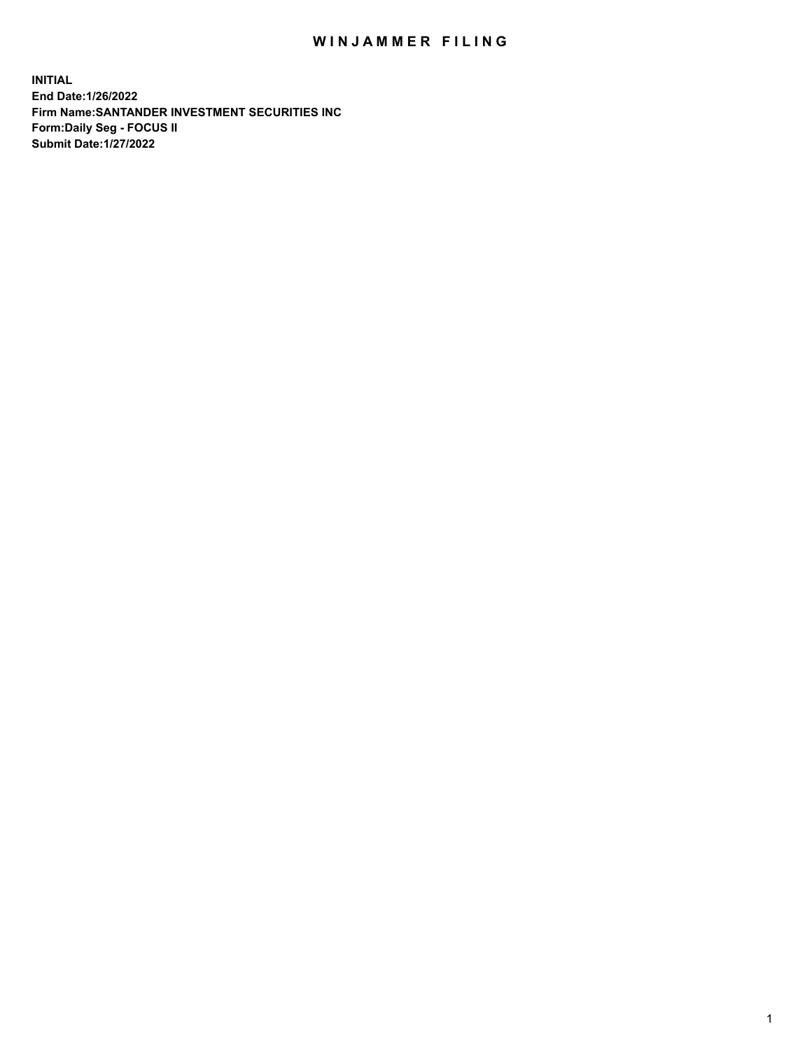## WIN JAMMER FILING

**INITIAL End Date:1/26/2022 Firm Name:SANTANDER INVESTMENT SECURITIES INC Form:Daily Seg - FOCUS II Submit Date:1/27/2022**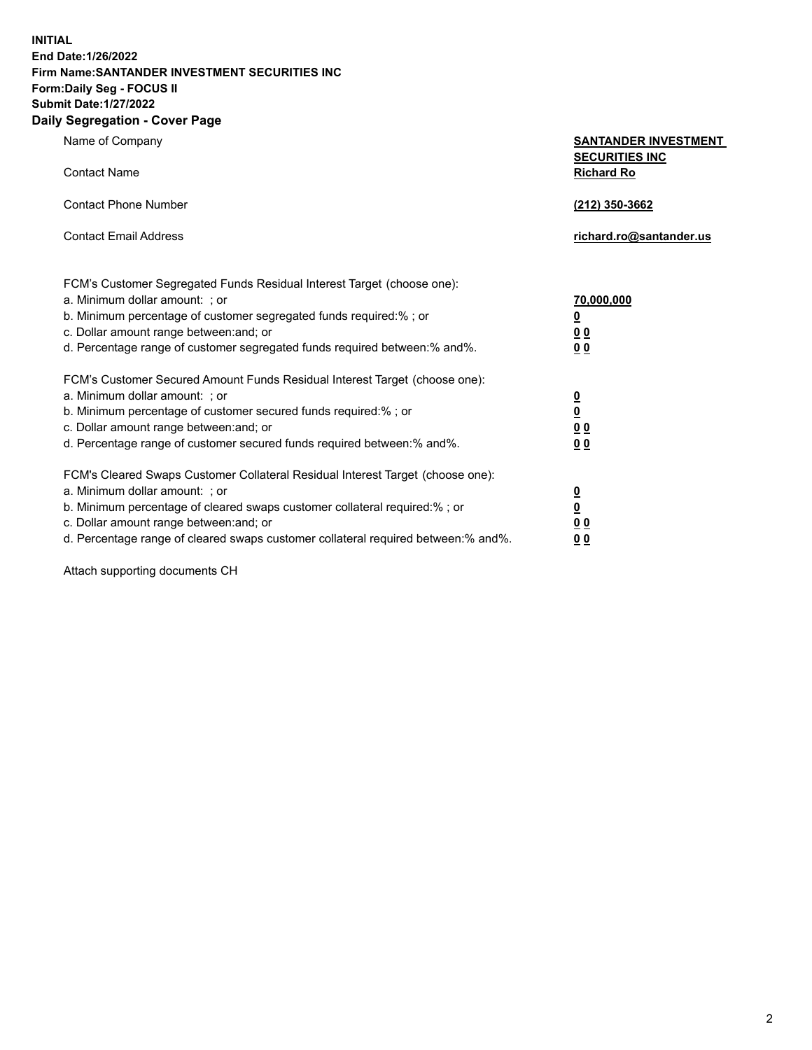**INITIAL End Date:1/26/2022 Firm Name:SANTANDER INVESTMENT SECURITIES INC Form:Daily Seg - FOCUS II Submit Date:1/27/2022 Daily Segregation - Cover Page**

**Name of Company** 

**Contact Name** 

| <b>SANTANDER INVESTMENT</b> |
|-----------------------------|
| <b>SECURITIES INC</b>       |
| <b>Richard Ro</b>           |

| Contact Phone Number                                                      | (212) 350-3662          |
|---------------------------------------------------------------------------|-------------------------|
| <b>Contact Email Address</b>                                              | richard.ro@santander.us |
| FCM's Customer Segregated Funds Residual Interest Target (choose one):    |                         |
| a. Minimum dollar amount: ; or                                            | 70,000,000              |
| b. Minimum percentage of customer segregated funds required:%; or         | <u>0</u>                |
| c. Dollar amount range between: and; or                                   | 0 <sub>0</sub>          |
| d. Percentage range of customer segregated funds required between:% and%. | <u>0 0</u>              |

| FCM's Customer Secured Amount Funds Residual Interest Target (choose one):<br>a. Minimum dollar amount: ; or<br>b. Minimum percentage of customer secured funds required:%; or<br>c. Dollar amount range between: and; or<br>d. Percentage range of customer secured funds required between:% and%. | 0<br>$\overline{\mathbf{0}}$<br><u>00</u><br>0 <sub>0</sub> |
|-----------------------------------------------------------------------------------------------------------------------------------------------------------------------------------------------------------------------------------------------------------------------------------------------------|-------------------------------------------------------------|
| FCM's Cleared Swaps Customer Collateral Residual Interest Target (choose one):<br>a. Minimum dollar amount: ; or<br>b. Minimum percentage of cleared swaps customer collateral required:%; or<br>c. Dollar amount range between: and; or                                                            | 0<br><u>0</u><br>0 <sub>0</sub>                             |
| d. Percentage range of cleared swaps customer collateral required between: % and %.                                                                                                                                                                                                                 | 00                                                          |

Attach supporting documents CH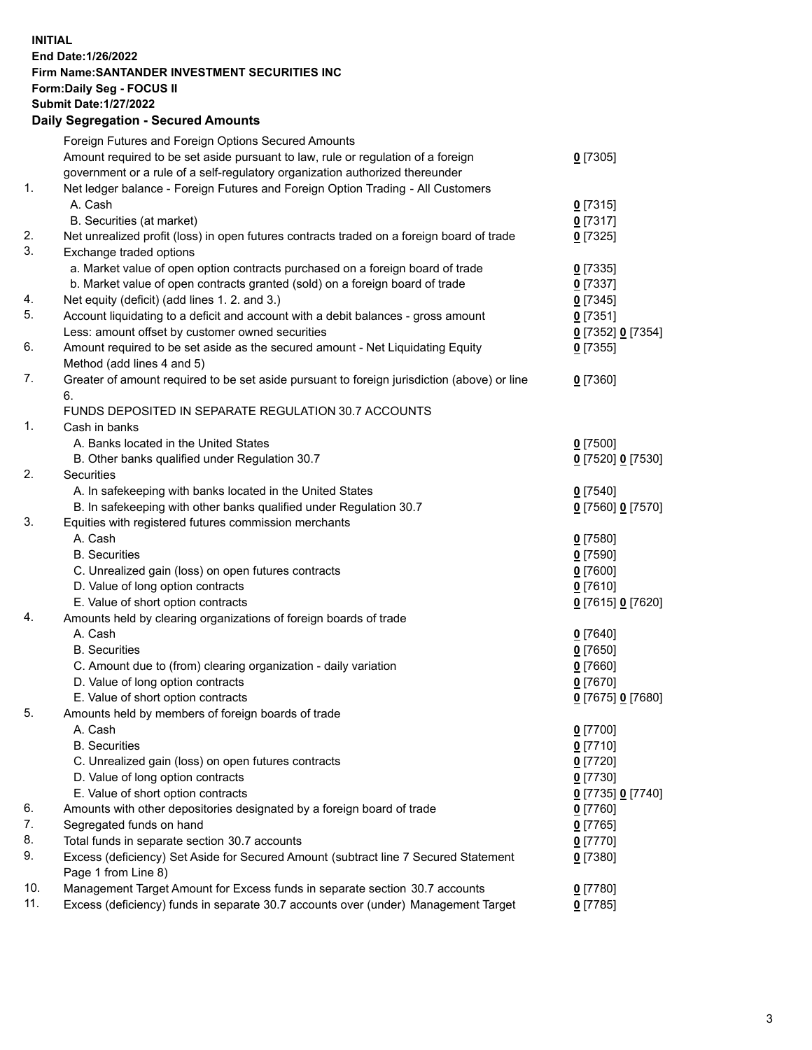## **INITIAL End Date:1/26/2022 Firm Name:SANTANDER INVESTMENT SECURITIES INC Form:Daily Seg - FOCUS II Submit Date:1/27/2022 Daily Segregation - Secured Amounts**

|     | Foreign Futures and Foreign Options Secured Amounts                                         |                   |
|-----|---------------------------------------------------------------------------------------------|-------------------|
|     | Amount required to be set aside pursuant to law, rule or regulation of a foreign            | $0$ [7305]        |
|     | government or a rule of a self-regulatory organization authorized thereunder                |                   |
| 1.  | Net ledger balance - Foreign Futures and Foreign Option Trading - All Customers             |                   |
|     | A. Cash                                                                                     | $0$ [7315]        |
|     | B. Securities (at market)                                                                   | $0$ [7317]        |
| 2.  | Net unrealized profit (loss) in open futures contracts traded on a foreign board of trade   | $0$ [7325]        |
| 3.  | Exchange traded options                                                                     |                   |
|     | a. Market value of open option contracts purchased on a foreign board of trade              | $0$ [7335]        |
|     | b. Market value of open contracts granted (sold) on a foreign board of trade                | $0$ [7337]        |
| 4.  | Net equity (deficit) (add lines 1. 2. and 3.)                                               | $0$ [7345]        |
| 5.  | Account liquidating to a deficit and account with a debit balances - gross amount           | $0$ [7351]        |
|     | Less: amount offset by customer owned securities                                            | 0 [7352] 0 [7354] |
| 6.  | Amount required to be set aside as the secured amount - Net Liquidating Equity              | $0$ [7355]        |
|     | Method (add lines 4 and 5)                                                                  |                   |
| 7.  | Greater of amount required to be set aside pursuant to foreign jurisdiction (above) or line | $0$ [7360]        |
|     | 6.                                                                                          |                   |
|     | FUNDS DEPOSITED IN SEPARATE REGULATION 30.7 ACCOUNTS                                        |                   |
| 1.  | Cash in banks                                                                               |                   |
|     | A. Banks located in the United States                                                       | $0$ [7500]        |
|     | B. Other banks qualified under Regulation 30.7                                              | 0 [7520] 0 [7530] |
| 2.  | Securities                                                                                  |                   |
|     | A. In safekeeping with banks located in the United States                                   | $0$ [7540]        |
|     | B. In safekeeping with other banks qualified under Regulation 30.7                          | 0 [7560] 0 [7570] |
| 3.  | Equities with registered futures commission merchants                                       |                   |
|     | A. Cash                                                                                     | $0$ [7580]        |
|     | <b>B.</b> Securities                                                                        | $0$ [7590]        |
|     | C. Unrealized gain (loss) on open futures contracts                                         | $0$ [7600]        |
|     | D. Value of long option contracts                                                           | $0$ [7610]        |
|     | E. Value of short option contracts                                                          | 0 [7615] 0 [7620] |
| 4.  | Amounts held by clearing organizations of foreign boards of trade                           |                   |
|     | A. Cash                                                                                     | $0$ [7640]        |
|     | <b>B.</b> Securities                                                                        | $0$ [7650]        |
|     | C. Amount due to (from) clearing organization - daily variation                             | $0$ [7660]        |
|     | D. Value of long option contracts                                                           | $0$ [7670]        |
|     | E. Value of short option contracts                                                          | 0 [7675] 0 [7680] |
| 5.  | Amounts held by members of foreign boards of trade                                          |                   |
|     | A. Cash                                                                                     | $0$ [7700]        |
|     | <b>B.</b> Securities                                                                        | $0$ [7710]        |
|     | C. Unrealized gain (loss) on open futures contracts                                         | $0$ [7720]        |
|     | D. Value of long option contracts                                                           | $0$ [7730]        |
|     | E. Value of short option contracts                                                          | 0 [7735] 0 [7740] |
| 6.  | Amounts with other depositories designated by a foreign board of trade                      | $0$ [7760]        |
| 7.  | Segregated funds on hand                                                                    | $0$ [7765]        |
| 8.  | Total funds in separate section 30.7 accounts                                               | $0$ [7770]        |
| 9.  | Excess (deficiency) Set Aside for Secured Amount (subtract line 7 Secured Statement         | $0$ [7380]        |
|     | Page 1 from Line 8)                                                                         |                   |
| 10. | Management Target Amount for Excess funds in separate section 30.7 accounts                 | $0$ [7780]        |
| 11. | Excess (deficiency) funds in separate 30.7 accounts over (under) Management Target          | $0$ [7785]        |
|     |                                                                                             |                   |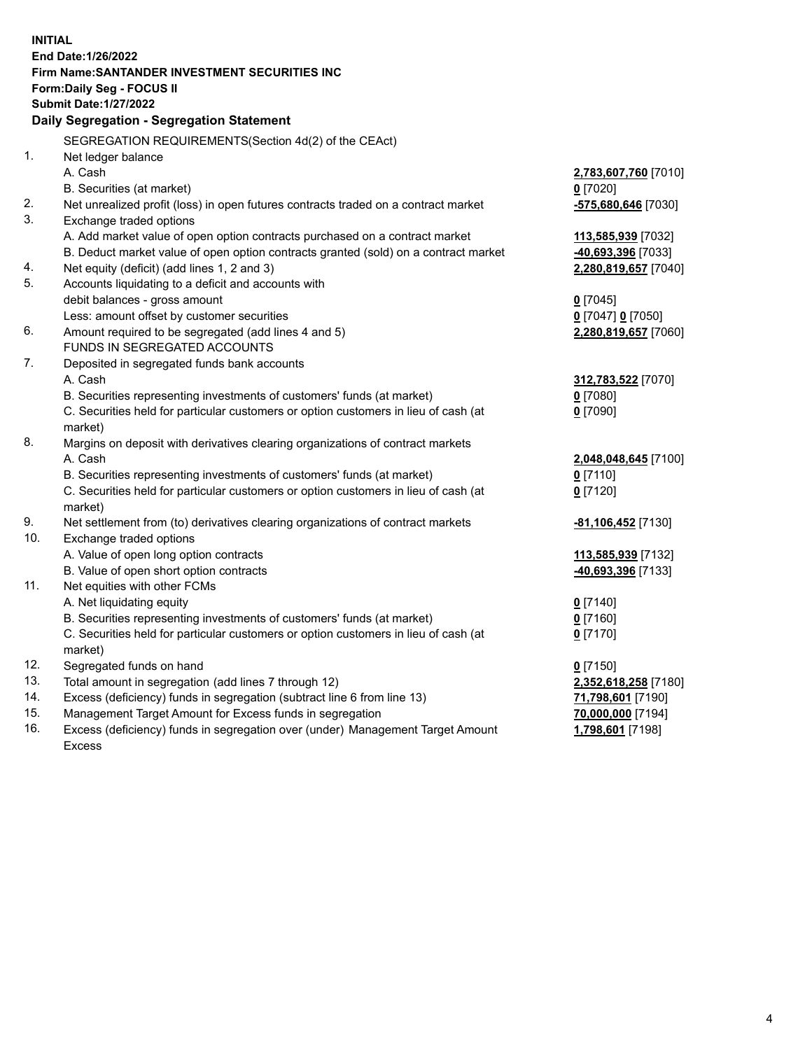| <b>INITIAL</b> |                                                                                     |                               |
|----------------|-------------------------------------------------------------------------------------|-------------------------------|
|                | End Date: 1/26/2022                                                                 |                               |
|                | Firm Name: SANTANDER INVESTMENT SECURITIES INC                                      |                               |
|                | Form: Daily Seg - FOCUS II                                                          |                               |
|                | <b>Submit Date: 1/27/2022</b>                                                       |                               |
|                | Daily Segregation - Segregation Statement                                           |                               |
|                | SEGREGATION REQUIREMENTS(Section 4d(2) of the CEAct)                                |                               |
| 1.             | Net ledger balance                                                                  |                               |
|                | A. Cash                                                                             | 2,783,607,760 [7010]          |
|                | B. Securities (at market)                                                           | $0$ [7020]                    |
| 2.             | Net unrealized profit (loss) in open futures contracts traded on a contract market  | -575,680,646 [7030]           |
| 3.             | Exchange traded options                                                             |                               |
|                | A. Add market value of open option contracts purchased on a contract market         | 113,585,939 [7032]            |
|                | B. Deduct market value of open option contracts granted (sold) on a contract market | -40,693,396 [7033]            |
| 4.             | Net equity (deficit) (add lines 1, 2 and 3)                                         | 2,280,819,657 [7040]          |
| 5.             | Accounts liquidating to a deficit and accounts with                                 |                               |
|                | debit balances - gross amount                                                       | $0$ [7045]                    |
|                | Less: amount offset by customer securities                                          | 0 [7047] 0 [7050]             |
| 6.             | Amount required to be segregated (add lines 4 and 5)                                | 2,280,819,657 [7060]          |
|                | FUNDS IN SEGREGATED ACCOUNTS                                                        |                               |
| 7.             | Deposited in segregated funds bank accounts                                         |                               |
|                | A. Cash                                                                             | 312,783,522 [7070]            |
|                | B. Securities representing investments of customers' funds (at market)              | $0$ [7080]                    |
|                | C. Securities held for particular customers or option customers in lieu of cash (at | $0$ [7090]                    |
|                | market)                                                                             |                               |
| 8.             | Margins on deposit with derivatives clearing organizations of contract markets      |                               |
|                | A. Cash                                                                             | 2,048,048,645 [7100]          |
|                | B. Securities representing investments of customers' funds (at market)              | $0$ [7110]                    |
|                | C. Securities held for particular customers or option customers in lieu of cash (at | $0$ [7120]                    |
|                | market)                                                                             |                               |
| 9.             | Net settlement from (to) derivatives clearing organizations of contract markets     | -81,106,452 <sup>[7130]</sup> |
| 10.            | Exchange traded options                                                             |                               |
|                | A. Value of open long option contracts                                              | 113,585,939 [7132]            |
|                | B. Value of open short option contracts                                             | <u>-40,693,396</u> [7133]     |
| 11.            | Net equities with other FCMs                                                        |                               |
|                | A. Net liquidating equity                                                           | $0$ [7140]                    |
|                | B. Securities representing investments of customers' funds (at market)              | $0$ [7160]                    |
|                | C. Securities held for particular customers or option customers in lieu of cash (at | $0$ [7170]                    |
|                | market)                                                                             |                               |
| 12.            | Segregated funds on hand                                                            | $0$ [7150]                    |
| 13.            | Total amount in segregation (add lines 7 through 12)                                | 2,352,618,258 [7180]          |
| 14.            | Excess (deficiency) funds in segregation (subtract line 6 from line 13)             | 71,798,601 [7190]             |
| 15.            | Management Target Amount for Excess funds in segregation                            | 70,000,000 [7194]             |
| 16.            | Excess (deficiency) funds in segregation over (under) Management Target Amount      | 1,798,601 [7198]              |
|                | Excess                                                                              |                               |